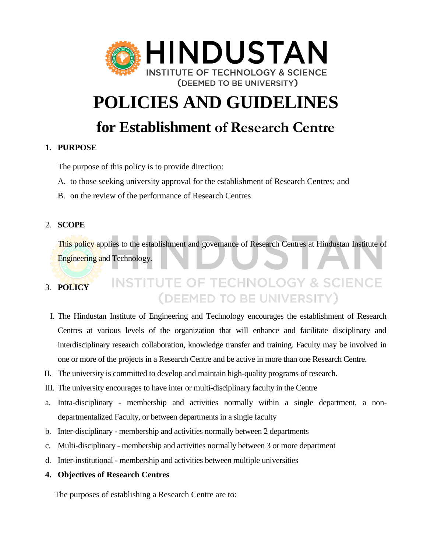

# **POLICIES AND GUIDELINES**

# **for Establishment of Research Centre**

# **1. PURPOSE**

The purpose of this policy is to provide direction:

A. to those seeking university approval for the establishment of Research Centres; and

B. on the review of the performance of Research Centres

# 2. **SCOPE**

This policy applies to the establishment and governance of Research Centres at Hindustan Institute of Engineering and Technology.

## **INSTITUTE OF TECHNOLOGY & SCIENCE** 3. **POLICY** (DEEMED TO BE UNIVERSITY)

- I. The Hindustan Institute of Engineering and Technology encourages the establishment of Research Centres at various levels of the organization that will enhance and facilitate disciplinary and interdisciplinary research collaboration, knowledge transfer and training. Faculty may be involved in one or more of the projects in a Research Centre and be active in more than one Research Centre.
- II. The university is committed to develop and maintain high-quality programs of research.
- III. The university encourages to have inter or multi-disciplinary faculty in the Centre
- a. Intra-disciplinary membership and activities normally within a single department, a nondepartmentalized Faculty, or between departments in a single faculty
- b. Inter-disciplinary membership and activities normally between 2 departments
- c. Multi-disciplinary membership and activities normally between 3 or more department
- d. Inter-institutional membership and activities between multiple universities

### **4. Objectives of Research Centres**

The purposes of establishing a Research Centre are to: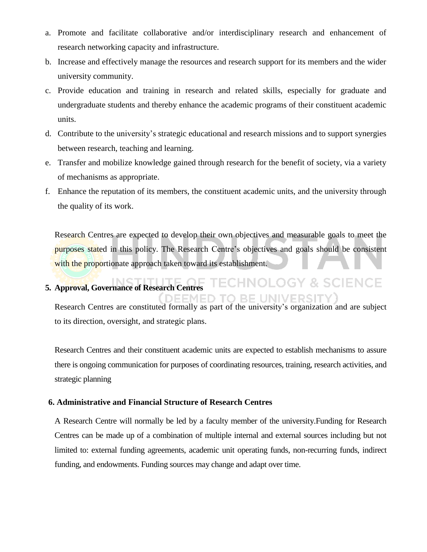- a. Promote and facilitate collaborative and/or interdisciplinary research and enhancement of research networking capacity and infrastructure.
- b. Increase and effectively manage the resources and research support for its members and the wider university community.
- c. Provide education and training in research and related skills, especially for graduate and undergraduate students and thereby enhance the academic programs of their constituent academic units.
- d. Contribute to the university's strategic educational and research missions and to support synergies between research, teaching and learning.
- e. Transfer and mobilize knowledge gained through research for the benefit of society, via a variety of mechanisms as appropriate.
- f. Enhance the reputation of its members, the constituent academic units, and the university through the quality of its work.

Research Centres are expected to develop their own objectives and measurable goals to meet the purposes stated in this policy. The Research Centre's objectives and goals should be consistent with the proportionate approach taken toward its establishment.

#### **ECHNOLOGY & SCIENCE 5. Approval, Governance of Research Centres ED TO BE UNIV**

Research Centres are constituted formally as part of the university's organization and are subject to its direction, oversight, and strategic plans.

Research Centres and their constituent academic units are expected to establish mechanisms to assure there is ongoing communication for purposes of coordinating resources, training, research activities, and strategic planning

#### **6. Administrative and Financial Structure of Research Centres**

A Research Centre will normally be led by a faculty member of the university.Funding for Research Centres can be made up of a combination of multiple internal and external sources including but not limited to: external funding agreements, academic unit operating funds, non-recurring funds, indirect funding, and endowments. Funding sources may change and adapt over time.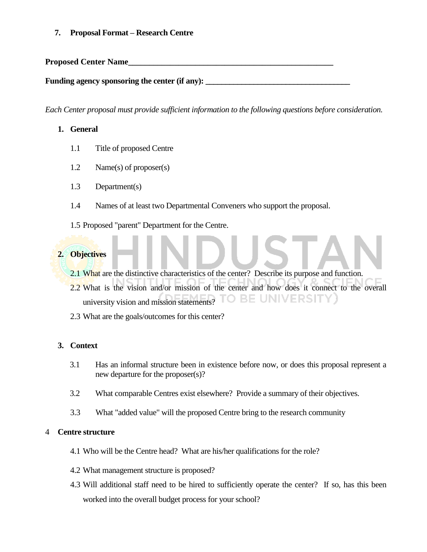**7. Proposal Format – Research Centre**

**Proposed Center Name** 

Funding agency sponsoring the center (if any):

*Each Center proposal must provide sufficient information to the following questions before consideration.* 

# **1. General**

- 1.1 Title of proposed Centre
- 1.2 Name(s) of proposer(s)
- 1.3 Department(s)
- 1.4 Names of at least two Departmental Conveners who support the proposal.
- 1.5 Proposed "parent" Department for the Centre.

# **2. Objectives**

- 2.1 What are the distinctive characteristics of the center? Describe its purpose and function.
- 2.2 What is the vision and/or mission of the center and how does it connect to the overall university vision and mission statements? TO BE UNIVERSITY
- 2.3 What are the goals/outcomes for this center?

# **3. Context**

- 3.1 Has an informal structure been in existence before now, or does this proposal represent a new departure for the proposer(s)?
- 3.2 What comparable Centres exist elsewhere? Provide a summary of their objectives.
- 3.3 What "added value" will the proposed Centre bring to the research community

### 4 **Centre structure**

- 4.1 Who will be the Centre head? What are his/her qualifications for the role?
- 4.2 What management structure is proposed?
- 4.3 Will additional staff need to be hired to sufficiently operate the center? If so, has this been worked into the overall budget process for your school?